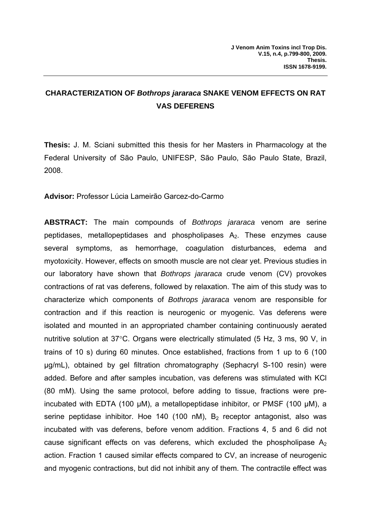## **CHARACTERIZATION OF** *Bothrops jararaca* **SNAKE VENOM EFFECTS ON RAT VAS DEFERENS**

**Thesis:** J. M. Sciani submitted this thesis for her Masters in Pharmacology at the Federal University of São Paulo, UNIFESP, São Paulo, São Paulo State, Brazil, 2008.

**Advisor:** Professor Lúcia Lameirão Garcez-do-Carmo

**ABSTRACT:** The main compounds of *Bothrops jararaca* venom are serine peptidases, metallopeptidases and phospholipases  $A_2$ . These enzymes cause several symptoms, as hemorrhage, coagulation disturbances, edema and myotoxicity. However, effects on smooth muscle are not clear yet. Previous studies in our laboratory have shown that *Bothrops jararaca* crude venom (CV) provokes contractions of rat vas deferens, followed by relaxation. The aim of this study was to characterize which components of *Bothrops jararaca* venom are responsible for contraction and if this reaction is neurogenic or myogenic. Vas deferens were isolated and mounted in an appropriated chamber containing continuously aerated nutritive solution at 37°C. Organs were electrically stimulated (5 Hz, 3 ms, 90 V, in trains of 10 s) during 60 minutes. Once established, fractions from 1 up to 6 (100 μg/mL), obtained by gel filtration chromatography (Sephacryl S-100 resin) were added. Before and after samples incubation, vas deferens was stimulated with KCl (80 mM). Using the same protocol, before adding to tissue, fractions were preincubated with EDTA (100  $\mu$ M), a metallopeptidase inhibitor, or PMSF (100  $\mu$ M), a serine peptidase inhibitor. Hoe 140 (100 nM),  $B_2$  receptor antagonist, also was incubated with vas deferens, before venom addition. Fractions 4, 5 and 6 did not cause significant effects on vas deferens, which excluded the phospholipase  $A_2$ action. Fraction 1 caused similar effects compared to CV, an increase of neurogenic and myogenic contractions, but did not inhibit any of them. The contractile effect was